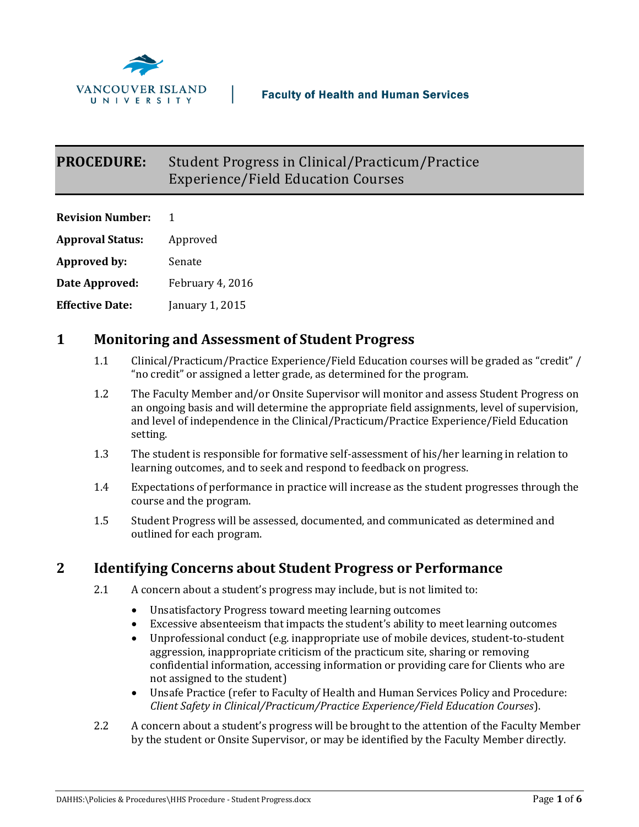

# **PROCEDURE:** Student Progress in Clinical/Practicum/Practice Experience/Field Education Courses

| <b>Revision Number:</b> | 1                |
|-------------------------|------------------|
| <b>Approval Status:</b> | Approved         |
| <b>Approved by:</b>     | Senate           |
| Date Approved:          | February 4, 2016 |
| <b>Effective Date:</b>  | January 1, 2015  |

### **1 Monitoring and Assessment of Student Progress**

- 1.1 Clinical/Practicum/Practice Experience/Field Education courses will be graded as "credit" / "no credit" or assigned a letter grade, as determined for the program.
- 1.2 The Faculty Member and/or Onsite Supervisor will monitor and assess Student Progress on an ongoing basis and will determine the appropriate field assignments, level of supervision, and level of independence in the Clinical/Practicum/Practice Experience/Field Education setting.
- 1.3 The student is responsible for formative self-assessment of his/her learning in relation to learning outcomes, and to seek and respond to feedback on progress.
- 1.4 Expectations of performance in practice will increase as the student progresses through the course and the program.
- 1.5 Student Progress will be assessed, documented, and communicated as determined and outlined for each program.

### **2 Identifying Concerns about Student Progress or Performance**

- 2.1 A concern about a student's progress may include, but is not limited to:
	- Unsatisfactory Progress toward meeting learning outcomes
	- Excessive absenteeism that impacts the student's ability to meet learning outcomes
	- Unprofessional conduct (e.g. inappropriate use of mobile devices, student-to-student aggression, inappropriate criticism of the practicum site, sharing or removing confidential information, accessing information or providing care for Clients who are not assigned to the student)
	- Unsafe Practice (refer to Faculty of Health and Human Services Policy and Procedure: *Client Safety in Clinical/Practicum/Practice Experience/Field Education Courses*).
- 2.2 A concern about a student's progress will be brought to the attention of the Faculty Member by the student or Onsite Supervisor, or may be identified by the Faculty Member directly.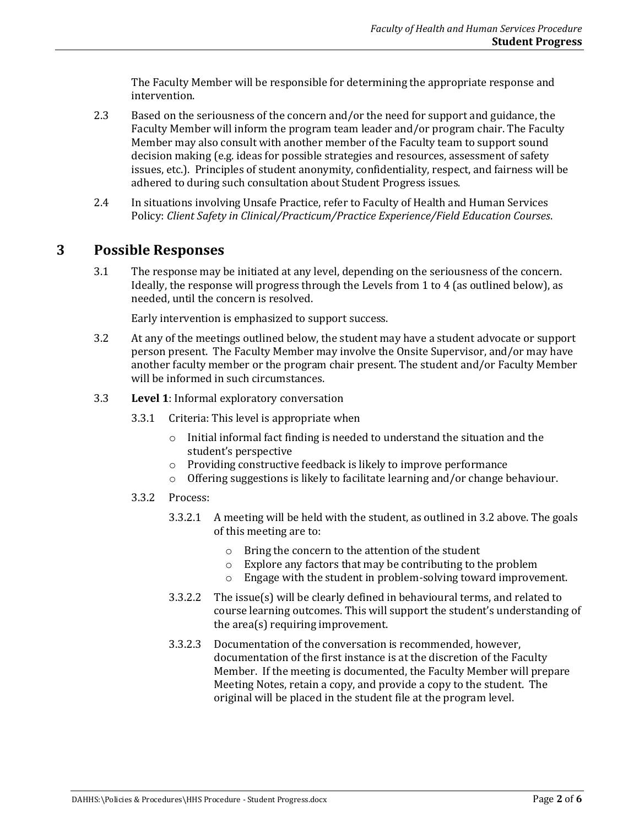The Faculty Member will be responsible for determining the appropriate response and intervention.

- 2.3 Based on the seriousness of the concern and/or the need for support and guidance, the Faculty Member will inform the program team leader and/or program chair. The Faculty Member may also consult with another member of the Faculty team to support sound decision making (e.g. ideas for possible strategies and resources, assessment of safety issues, etc.). Principles of student anonymity, confidentiality, respect, and fairness will be adhered to during such consultation about Student Progress issues.
- 2.4 In situations involving Unsafe Practice, refer to Faculty of Health and Human Services Policy: *Client Safety in Clinical/Practicum/Practice Experience/Field Education Courses*.

#### **3 Possible Responses**

3.1 The response may be initiated at any level, depending on the seriousness of the concern. Ideally, the response will progress through the Levels from 1 to 4 (as outlined below), as needed, until the concern is resolved.

Early intervention is emphasized to support success.

- 3.2 At any of the meetings outlined below, the student may have a student advocate or support person present. The Faculty Member may involve the Onsite Supervisor, and/or may have another faculty member or the program chair present. The student and/or Faculty Member will be informed in such circumstances.
- 3.3 **Level 1**: Informal exploratory conversation
	- 3.3.1 Criteria: This level is appropriate when
		- o Initial informal fact finding is needed to understand the situation and the student's perspective
		- o Providing constructive feedback is likely to improve performance
		- o Offering suggestions is likely to facilitate learning and/or change behaviour.
	- 3.3.2 Process:
		- 3.3.2.1 A meeting will be held with the student, as outlined in 3.2 above. The goals of this meeting are to:
			- o Bring the concern to the attention of the student
			- o Explore any factors that may be contributing to the problem
			- o Engage with the student in problem-solving toward improvement.
		- 3.3.2.2 The issue(s) will be clearly defined in behavioural terms, and related to course learning outcomes. This will support the student's understanding of the area(s) requiring improvement.
		- 3.3.2.3 Documentation of the conversation is recommended, however, documentation of the first instance is at the discretion of the Faculty Member. If the meeting is documented, the Faculty Member will prepare Meeting Notes, retain a copy, and provide a copy to the student. The original will be placed in the student file at the program level.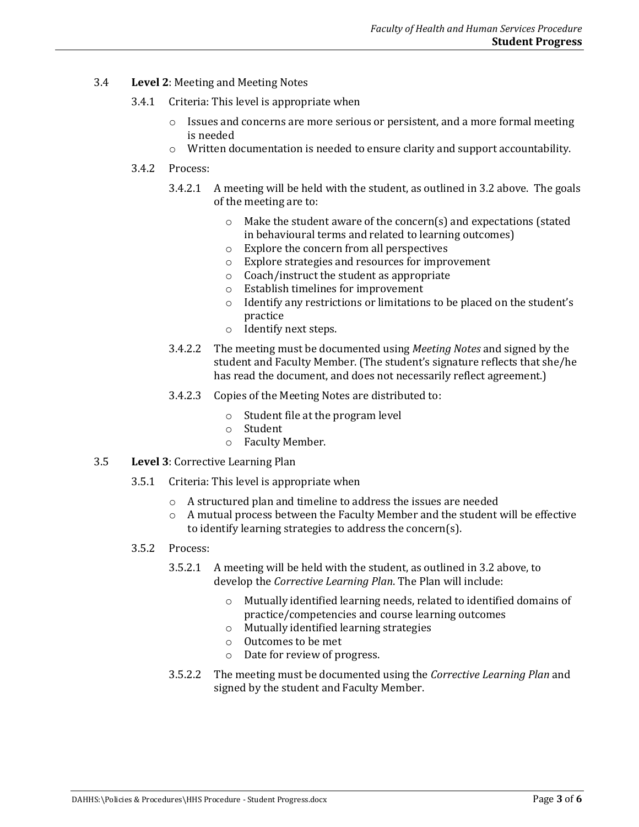- 3.4 **Level 2**: Meeting and Meeting Notes
	- 3.4.1 Criteria: This level is appropriate when
		- $\circ$  Issues and concerns are more serious or persistent, and a more formal meeting is needed
		- o Written documentation is needed to ensure clarity and support accountability.
	- 3.4.2 Process:
		- 3.4.2.1 A meeting will be held with the student, as outlined in 3.2 above. The goals of the meeting are to:
			- o Make the student aware of the concern(s) and expectations (stated in behavioural terms and related to learning outcomes)
			- o Explore the concern from all perspectives
			- o Explore strategies and resources for improvement
			- o Coach/instruct the student as appropriate
			- o Establish timelines for improvement
			- o Identify any restrictions or limitations to be placed on the student's practice
			- o Identify next steps.
		- 3.4.2.2 The meeting must be documented using *Meeting Notes* and signed by the student and Faculty Member. (The student's signature reflects that she/he has read the document, and does not necessarily reflect agreement.)
		- 3.4.2.3 Copies of the Meeting Notes are distributed to:
			- o Student file at the program level
			- o Student
			- o Faculty Member.
- 3.5 **Level 3**: Corrective Learning Plan
	- 3.5.1 Criteria: This level is appropriate when
		- o A structured plan and timeline to address the issues are needed
		- $\circ$  A mutual process between the Faculty Member and the student will be effective to identify learning strategies to address the concern(s).
	- 3.5.2 Process:
		- 3.5.2.1 A meeting will be held with the student, as outlined in 3.2 above, to develop the *Corrective Learning Plan*. The Plan will include:
			- o Mutually identified learning needs, related to identified domains of practice/competencies and course learning outcomes
			- o Mutually identified learning strategies
			- o Outcomes to be met
			- o Date for review of progress.
		- 3.5.2.2 The meeting must be documented using the *Corrective Learning Plan* and signed by the student and Faculty Member.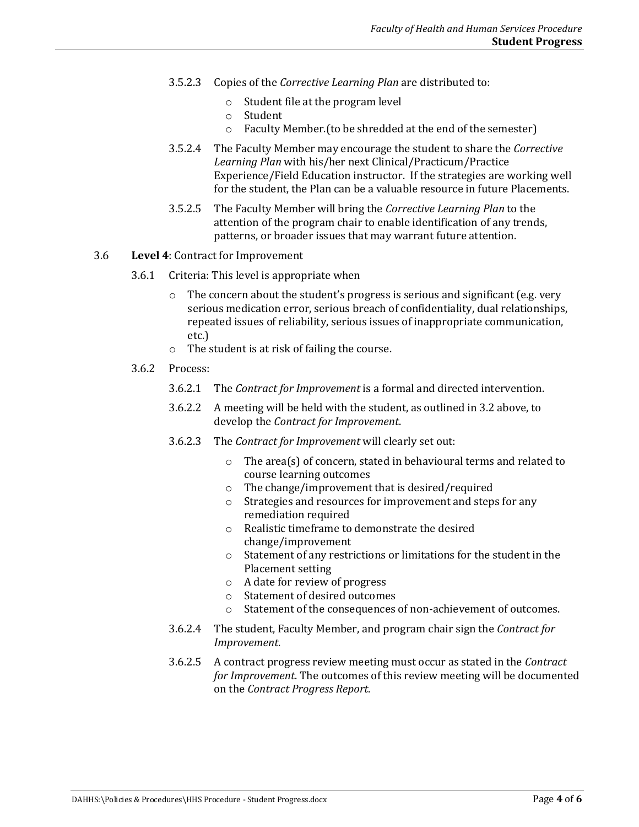- 3.5.2.3 Copies of the *Corrective Learning Plan* are distributed to:
	- o Student file at the program level
	- o Student
	- o Faculty Member.(to be shredded at the end of the semester)
- 3.5.2.4 The Faculty Member may encourage the student to share the *Corrective Learning Plan* with his/her next Clinical/Practicum/Practice Experience/Field Education instructor. If the strategies are working well for the student, the Plan can be a valuable resource in future Placements.
- 3.5.2.5 The Faculty Member will bring the *Corrective Learning Plan* to the attention of the program chair to enable identification of any trends, patterns, or broader issues that may warrant future attention.

#### 3.6 **Level 4**: Contract for Improvement

- 3.6.1 Criteria: This level is appropriate when
	- $\circ$  The concern about the student's progress is serious and significant (e.g. very serious medication error, serious breach of confidentiality, dual relationships, repeated issues of reliability, serious issues of inappropriate communication, etc.)
	- o The student is at risk of failing the course.
- 3.6.2 Process:
	- 3.6.2.1 The *Contract for Improvement* is a formal and directed intervention.
	- 3.6.2.2 A meeting will be held with the student, as outlined in 3.2 above, to develop the *Contract for Improvement*.
	- 3.6.2.3 The *Contract for Improvement* will clearly set out:
		- o The area(s) of concern, stated in behavioural terms and related to course learning outcomes
		- o The change/improvement that is desired/required
		- o Strategies and resources for improvement and steps for any remediation required
		- o Realistic timeframe to demonstrate the desired change/improvement
		- o Statement of any restrictions or limitations for the student in the Placement setting
		- o A date for review of progress
		- o Statement of desired outcomes
		- o Statement of the consequences of non-achievement of outcomes.
	- 3.6.2.4 The student, Faculty Member, and program chair sign the *Contract for Improvement*.
	- 3.6.2.5 A contract progress review meeting must occur as stated in the *Contract for Improvement*. The outcomes of this review meeting will be documented on the *Contract Progress Report*.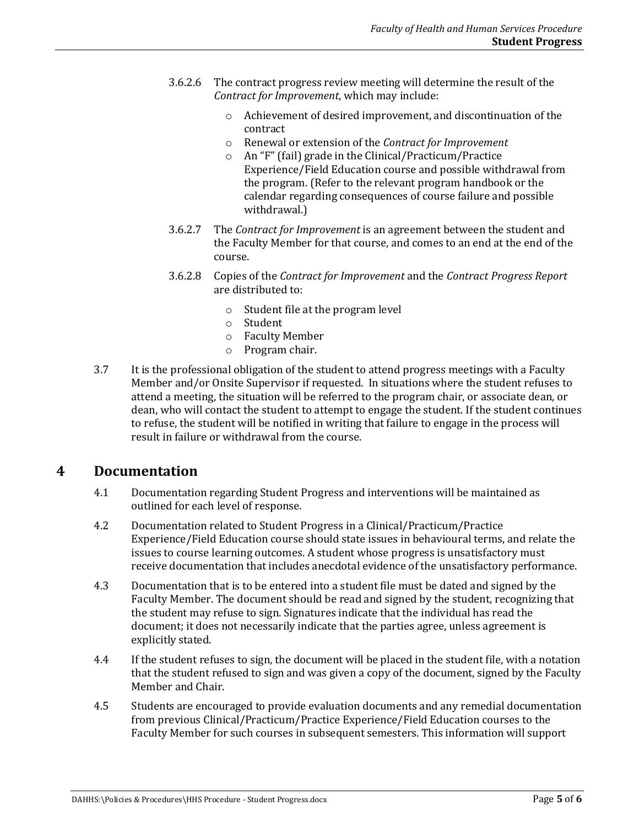- 3.6.2.6 The contract progress review meeting will determine the result of the *Contract for Improvement*, which may include:
	- o Achievement of desired improvement, and discontinuation of the contract
	- o Renewal or extension of the *Contract for Improvement*
	- o An "F" (fail) grade in the Clinical/Practicum/Practice Experience/Field Education course and possible withdrawal from the program. (Refer to the relevant program handbook or the calendar regarding consequences of course failure and possible withdrawal.)
- 3.6.2.7 The *Contract for Improvement* is an agreement between the student and the Faculty Member for that course, and comes to an end at the end of the course.
- 3.6.2.8 Copies of the *Contract for Improvement* and the *Contract Progress Report* are distributed to:
	- o Student file at the program level
	- o Student
	- o Faculty Member
	- o Program chair.
- 3.7 It is the professional obligation of the student to attend progress meetings with a Faculty Member and/or Onsite Supervisor if requested. In situations where the student refuses to attend a meeting, the situation will be referred to the program chair, or associate dean, or dean, who will contact the student to attempt to engage the student. If the student continues to refuse, the student will be notified in writing that failure to engage in the process will result in failure or withdrawal from the course.

#### **4 Documentation**

- 4.1 Documentation regarding Student Progress and interventions will be maintained as outlined for each level of response.
- 4.2 Documentation related to Student Progress in a Clinical/Practicum/Practice Experience/Field Education course should state issues in behavioural terms, and relate the issues to course learning outcomes. A student whose progress is unsatisfactory must receive documentation that includes anecdotal evidence of the unsatisfactory performance.
- 4.3 Documentation that is to be entered into a student file must be dated and signed by the Faculty Member. The document should be read and signed by the student, recognizing that the student may refuse to sign. Signatures indicate that the individual has read the document; it does not necessarily indicate that the parties agree, unless agreement is explicitly stated.
- 4.4 If the student refuses to sign, the document will be placed in the student file, with a notation that the student refused to sign and was given a copy of the document, signed by the Faculty Member and Chair.
- 4.5 Students are encouraged to provide evaluation documents and any remedial documentation from previous Clinical/Practicum/Practice Experience/Field Education courses to the Faculty Member for such courses in subsequent semesters. This information will support